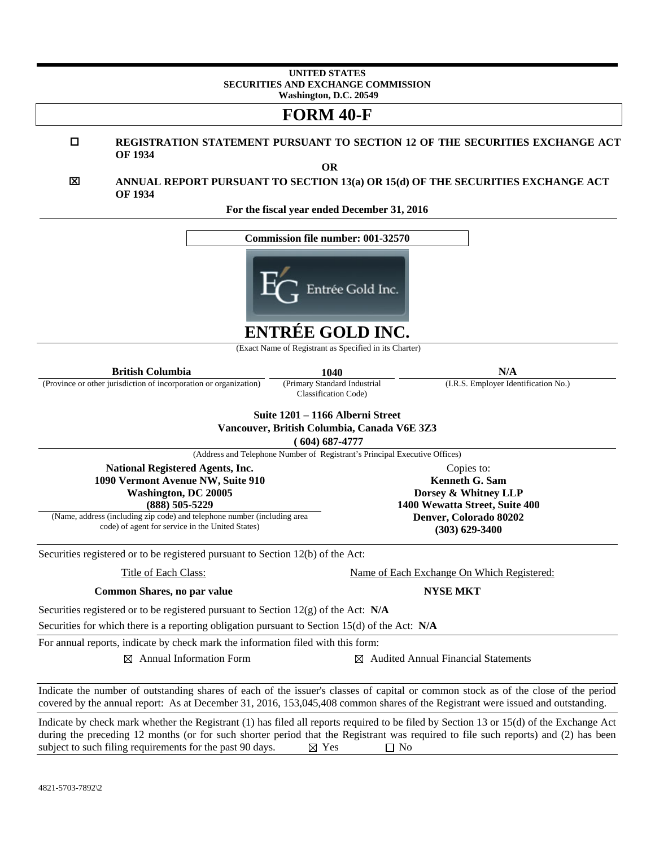## **UNITED STATES SECURITIES AND EXCHANGE COMMISSION Washington, D.C. 20549 FORM 40-F**   $\Box$ **REGISTRATION STATEMENT PURSUANT TO SECTION 12 OF THE SECURITIES EXCHANGE ACT OF 1934 OR**  図 **ANNUAL REPORT PURSUANT TO SECTION 13(a) OR 15(d) OF THE SECURITIES EXCHANGE ACT OF 1934 For the fiscal year ended December 31, 2016 Commission file number: 001-32570** Entrée Gold Inc. **ENTRÉE GOLD INC.** (Exact Name of Registrant as Specified in its Charter) **British Columbia**<br>
Initial **Columbia**<br>
Initial **Indiana Industrial**<br>
Initial **Influence Columbia**<br>
Initial **Industrial**<br>
I.R.S. Employer Ide (Province or other jurisdiction of incorporation or organization) (I.R.S. Employer Identification No.) Classification Code) **Suite 1201 – 1166 Alberni Street Vancouver, British Columbia, Canada V6E 3Z3 ( 604) 687-4777**  (Address and Telephone Number of Registrant's Principal Executive Offices) **National Registered Agents, Inc.**  Copies to: **Kenneth G. Sam 1090 Vermont Avenue NW, Suite 910 Washington, DC 20005 Dorsey & Whitney LLP (888) 505-5229 1400 Wewatta Street, Suite 400**  (Name, address (including zip code) and telephone number (including area **Denver, Colorado 80202**  code) of agent for service in the United States) **(303) 629-3400**  Securities registered or to be registered pursuant to Section 12(b) of the Act: Title of Each Class: Name of Each Exchange On Which Registered: **Common Shares, no par value NYSE MKT** Securities registered or to be registered pursuant to Section 12(g) of the Act: **N/A**  Securities for which there is a reporting obligation pursuant to Section 15(d) of the Act: **N/A**  For annual reports, indicate by check mark the information filed with this form:  $\boxtimes$  Annual Information Form  $\boxtimes$  Audited Annual Financial Statements Indicate the number of outstanding shares of each of the issuer's classes of capital or common stock as of the close of the period covered by the annual report: As at December 31, 2016, 153,045,408 common shares of the Registrant were issued and outstanding. Indicate by check mark whether the Registrant (1) has filed all reports required to be filed by Section 13 or 15(d) of the Exchange Act during the preceding 12 months (or for such shorter period that the Registrant was required to file such reports) and (2) has been subject to such filing requirements for the past 90 days.  $\boxtimes$  Yes  $\Box$  No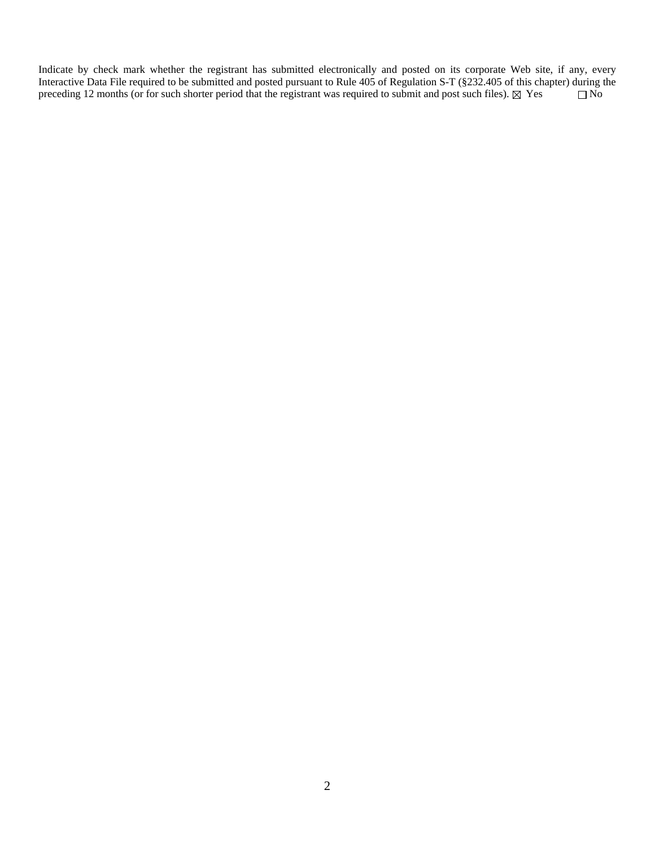Indicate by check mark whether the registrant has submitted electronically and posted on its corporate Web site, if any, every Interactive Data File required to be submitted and posted pursuant to Rule 405 of Regulation S-T (§232.405 of this chapter) during the preceding 12 months (or for such shorter period that the registrant was required to su preceding 12 months (or for such shorter period that the registrant was required to submit and post such files).  $\boxtimes$  Yes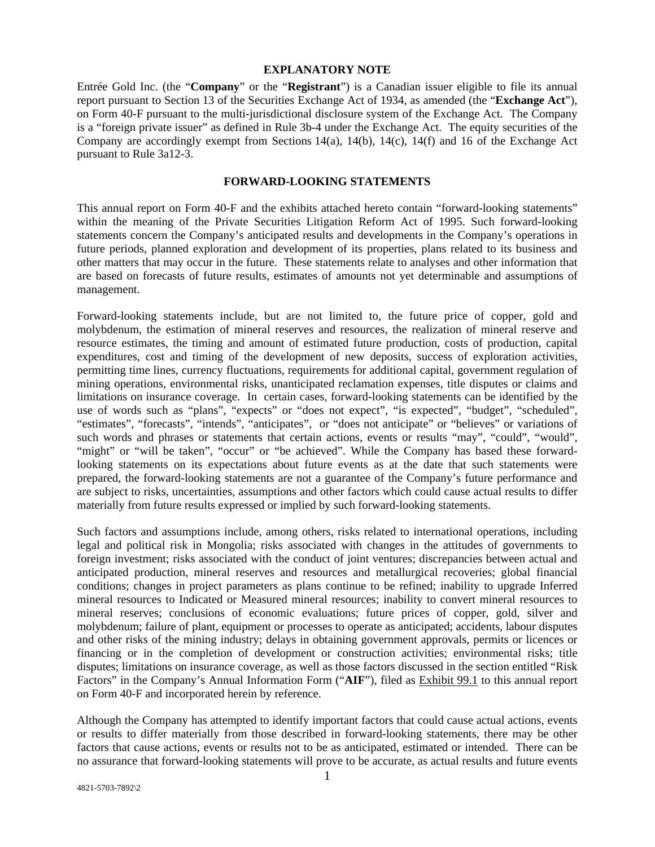## **EXPLANATORY NOTE**

Entrée Gold Inc. (the "**Company**" or the "**Registrant**") is a Canadian issuer eligible to file its annual report pursuant to Section 13 of the Securities Exchange Act of 1934, as amended (the "**Exchange Act**"), on Form 40-F pursuant to the multi-jurisdictional disclosure system of the Exchange Act. The Company is a "foreign private issuer" as defined in Rule 3b-4 under the Exchange Act. The equity securities of the Company are accordingly exempt from Sections  $14(a)$ ,  $14(b)$ ,  $14(c)$ ,  $14(f)$  and 16 of the Exchange Act pursuant to Rule 3a12-3.

## **FORWARD-LOOKING STATEMENTS**

This annual report on Form 40-F and the exhibits attached hereto contain "forward-looking statements" within the meaning of the Private Securities Litigation Reform Act of 1995. Such forward-looking statements concern the Company's anticipated results and developments in the Company's operations in future periods, planned exploration and development of its properties, plans related to its business and other matters that may occur in the future. These statements relate to analyses and other information that are based on forecasts of future results, estimates of amounts not yet determinable and assumptions of management.

Forward-looking statements include, but are not limited to, the future price of copper, gold and molybdenum, the estimation of mineral reserves and resources, the realization of mineral reserve and resource estimates, the timing and amount of estimated future production, costs of production, capital expenditures, cost and timing of the development of new deposits, success of exploration activities, permitting time lines, currency fluctuations, requirements for additional capital, government regulation of mining operations, environmental risks, unanticipated reclamation expenses, title disputes or claims and limitations on insurance coverage. In certain cases, forward-looking statements can be identified by the use of words such as "plans", "expects" or "does not expect", "is expected", "budget", "scheduled", "estimates", "forecasts", "intends", "anticipates", or "does not anticipate" or "believes" or variations of such words and phrases or statements that certain actions, events or results "may", "could", "would", "might" or "will be taken", "occur" or "be achieved". While the Company has based these forwardlooking statements on its expectations about future events as at the date that such statements were prepared, the forward-looking statements are not a guarantee of the Company's future performance and are subject to risks, uncertainties, assumptions and other factors which could cause actual results to differ materially from future results expressed or implied by such forward-looking statements.

Such factors and assumptions include, among others, risks related to international operations, including legal and political risk in Mongolia; risks associated with changes in the attitudes of governments to foreign investment; risks associated with the conduct of joint ventures; discrepancies between actual and anticipated production, mineral reserves and resources and metallurgical recoveries; global financial conditions; changes in project parameters as plans continue to be refined; inability to upgrade Inferred mineral resources to Indicated or Measured mineral resources; inability to convert mineral resources to mineral reserves; conclusions of economic evaluations; future prices of copper, gold, silver and molybdenum; failure of plant, equipment or processes to operate as anticipated; accidents, labour disputes and other risks of the mining industry; delays in obtaining government approvals, permits or licences or financing or in the completion of development or construction activities; environmental risks; title disputes; limitations on insurance coverage, as well as those factors discussed in the section entitled "Risk Factors" in the Company's Annual Information Form ("**AIF**"), filed as Exhibit 99.1 to this annual report on Form 40-F and incorporated herein by reference.

Although the Company has attempted to identify important factors that could cause actual actions, events or results to differ materially from those described in forward-looking statements, there may be other factors that cause actions, events or results not to be as anticipated, estimated or intended. There can be no assurance that forward-looking statements will prove to be accurate, as actual results and future events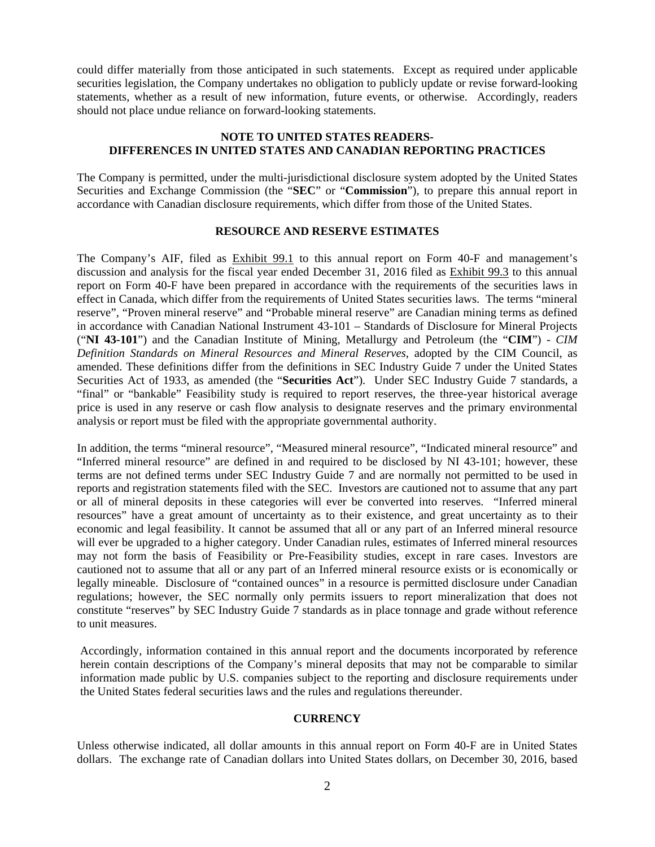could differ materially from those anticipated in such statements. Except as required under applicable securities legislation, the Company undertakes no obligation to publicly update or revise forward-looking statements, whether as a result of new information, future events, or otherwise. Accordingly, readers should not place undue reliance on forward-looking statements.

## **NOTE TO UNITED STATES READERS-DIFFERENCES IN UNITED STATES AND CANADIAN REPORTING PRACTICES**

The Company is permitted, under the multi-jurisdictional disclosure system adopted by the United States Securities and Exchange Commission (the "**SEC**" or "**Commission**"), to prepare this annual report in accordance with Canadian disclosure requirements, which differ from those of the United States.

## **RESOURCE AND RESERVE ESTIMATES**

The Company's AIF, filed as Exhibit 99.1 to this annual report on Form 40-F and management's discussion and analysis for the fiscal year ended December 31, 2016 filed as Exhibit 99.3 to this annual report on Form 40-F have been prepared in accordance with the requirements of the securities laws in effect in Canada, which differ from the requirements of United States securities laws. The terms "mineral reserve", "Proven mineral reserve" and "Probable mineral reserve" are Canadian mining terms as defined in accordance with Canadian National Instrument 43-101 – Standards of Disclosure for Mineral Projects ("**NI 43-101**") and the Canadian Institute of Mining, Metallurgy and Petroleum (the "**CIM**") - *CIM Definition Standards on Mineral Resources and Mineral Reserves*, adopted by the CIM Council, as amended. These definitions differ from the definitions in SEC Industry Guide 7 under the United States Securities Act of 1933, as amended (the "**Securities Act**"). Under SEC Industry Guide 7 standards, a "final" or "bankable" Feasibility study is required to report reserves, the three-year historical average price is used in any reserve or cash flow analysis to designate reserves and the primary environmental analysis or report must be filed with the appropriate governmental authority.

In addition, the terms "mineral resource", "Measured mineral resource", "Indicated mineral resource" and "Inferred mineral resource" are defined in and required to be disclosed by NI 43-101; however, these terms are not defined terms under SEC Industry Guide 7 and are normally not permitted to be used in reports and registration statements filed with the SEC. Investors are cautioned not to assume that any part or all of mineral deposits in these categories will ever be converted into reserves. "Inferred mineral resources" have a great amount of uncertainty as to their existence, and great uncertainty as to their economic and legal feasibility. It cannot be assumed that all or any part of an Inferred mineral resource will ever be upgraded to a higher category. Under Canadian rules, estimates of Inferred mineral resources may not form the basis of Feasibility or Pre-Feasibility studies, except in rare cases. Investors are cautioned not to assume that all or any part of an Inferred mineral resource exists or is economically or legally mineable. Disclosure of "contained ounces" in a resource is permitted disclosure under Canadian regulations; however, the SEC normally only permits issuers to report mineralization that does not constitute "reserves" by SEC Industry Guide 7 standards as in place tonnage and grade without reference to unit measures.

Accordingly, information contained in this annual report and the documents incorporated by reference herein contain descriptions of the Company's mineral deposits that may not be comparable to similar information made public by U.S. companies subject to the reporting and disclosure requirements under the United States federal securities laws and the rules and regulations thereunder.

## **CURRENCY**

Unless otherwise indicated, all dollar amounts in this annual report on Form 40-F are in United States dollars. The exchange rate of Canadian dollars into United States dollars, on December 30, 2016, based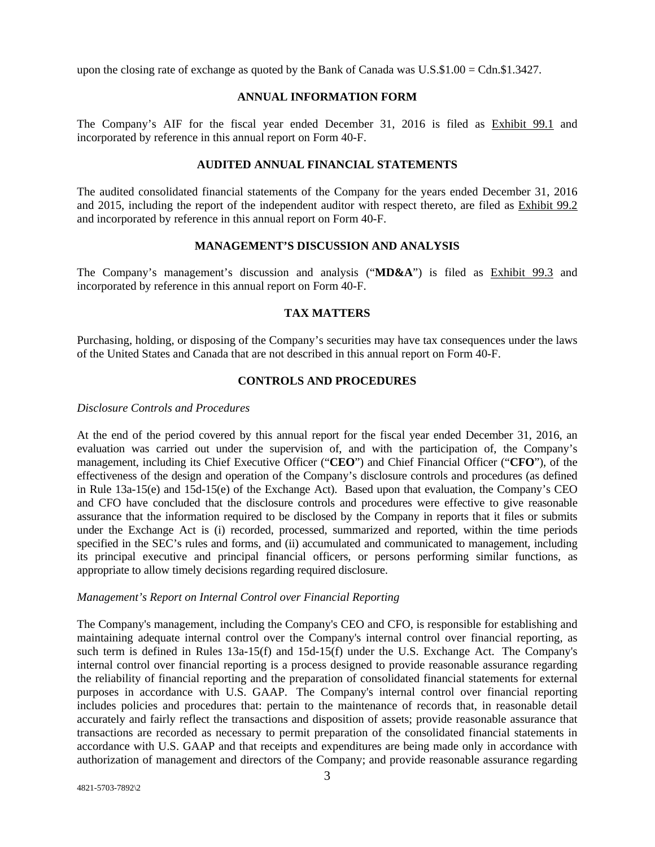upon the closing rate of exchange as quoted by the Bank of Canada was U.S.\$1.00 = Cdn.\$1.3427.

## **ANNUAL INFORMATION FORM**

The Company's AIF for the fiscal year ended December 31, 2016 is filed as Exhibit 99.1 and incorporated by reference in this annual report on Form 40-F.

## **AUDITED ANNUAL FINANCIAL STATEMENTS**

The audited consolidated financial statements of the Company for the years ended December 31, 2016 and 2015, including the report of the independent auditor with respect thereto, are filed as Exhibit 99.2 and incorporated by reference in this annual report on Form 40-F.

## **MANAGEMENT'S DISCUSSION AND ANALYSIS**

The Company's management's discussion and analysis ("**MD&A**") is filed as Exhibit 99.3 and incorporated by reference in this annual report on Form 40-F.

## **TAX MATTERS**

Purchasing, holding, or disposing of the Company's securities may have tax consequences under the laws of the United States and Canada that are not described in this annual report on Form 40-F.

## **CONTROLS AND PROCEDURES**

## *Disclosure Controls and Procedures*

At the end of the period covered by this annual report for the fiscal year ended December 31, 2016, an evaluation was carried out under the supervision of, and with the participation of, the Company's management, including its Chief Executive Officer ("**CEO**") and Chief Financial Officer ("**CFO**"), of the effectiveness of the design and operation of the Company's disclosure controls and procedures (as defined in Rule 13a-15(e) and 15d-15(e) of the Exchange Act). Based upon that evaluation, the Company's CEO and CFO have concluded that the disclosure controls and procedures were effective to give reasonable assurance that the information required to be disclosed by the Company in reports that it files or submits under the Exchange Act is (i) recorded, processed, summarized and reported, within the time periods specified in the SEC's rules and forms, and (ii) accumulated and communicated to management, including its principal executive and principal financial officers, or persons performing similar functions, as appropriate to allow timely decisions regarding required disclosure.

## *Management's Report on Internal Control over Financial Reporting*

The Company's management, including the Company's CEO and CFO, is responsible for establishing and maintaining adequate internal control over the Company's internal control over financial reporting, as such term is defined in Rules 13a-15(f) and 15d-15(f) under the U.S. Exchange Act. The Company's internal control over financial reporting is a process designed to provide reasonable assurance regarding the reliability of financial reporting and the preparation of consolidated financial statements for external purposes in accordance with U.S. GAAP. The Company's internal control over financial reporting includes policies and procedures that: pertain to the maintenance of records that, in reasonable detail accurately and fairly reflect the transactions and disposition of assets; provide reasonable assurance that transactions are recorded as necessary to permit preparation of the consolidated financial statements in accordance with U.S. GAAP and that receipts and expenditures are being made only in accordance with authorization of management and directors of the Company; and provide reasonable assurance regarding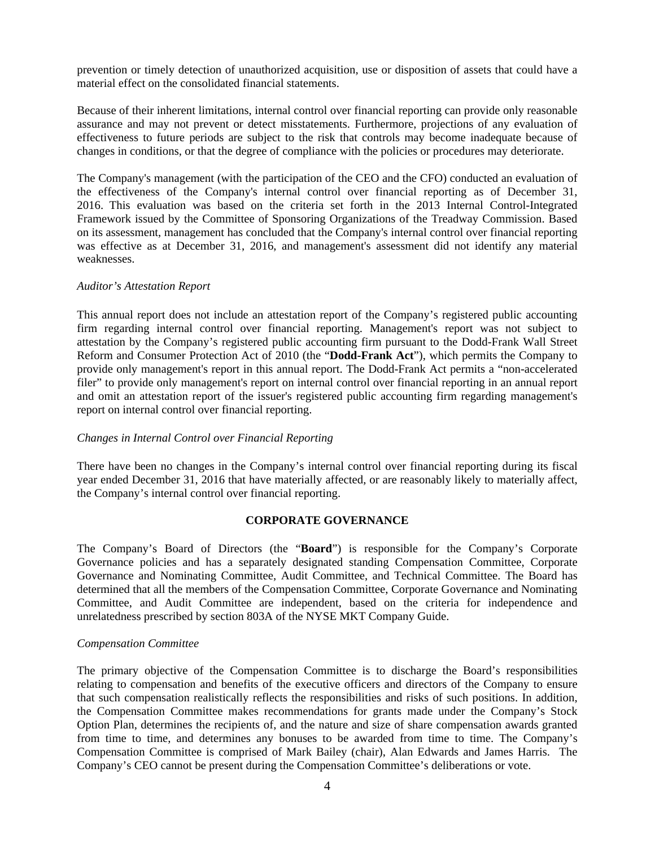prevention or timely detection of unauthorized acquisition, use or disposition of assets that could have a material effect on the consolidated financial statements.

Because of their inherent limitations, internal control over financial reporting can provide only reasonable assurance and may not prevent or detect misstatements. Furthermore, projections of any evaluation of effectiveness to future periods are subject to the risk that controls may become inadequate because of changes in conditions, or that the degree of compliance with the policies or procedures may deteriorate.

The Company's management (with the participation of the CEO and the CFO) conducted an evaluation of the effectiveness of the Company's internal control over financial reporting as of December 31, 2016. This evaluation was based on the criteria set forth in the 2013 Internal Control-Integrated Framework issued by the Committee of Sponsoring Organizations of the Treadway Commission. Based on its assessment, management has concluded that the Company's internal control over financial reporting was effective as at December 31, 2016, and management's assessment did not identify any material weaknesses.

## *Auditor's Attestation Report*

This annual report does not include an attestation report of the Company's registered public accounting firm regarding internal control over financial reporting. Management's report was not subject to attestation by the Company's registered public accounting firm pursuant to the Dodd-Frank Wall Street Reform and Consumer Protection Act of 2010 (the "**Dodd-Frank Act**"), which permits the Company to provide only management's report in this annual report. The Dodd-Frank Act permits a "non-accelerated filer" to provide only management's report on internal control over financial reporting in an annual report and omit an attestation report of the issuer's registered public accounting firm regarding management's report on internal control over financial reporting.

## *Changes in Internal Control over Financial Reporting*

There have been no changes in the Company's internal control over financial reporting during its fiscal year ended December 31, 2016 that have materially affected, or are reasonably likely to materially affect, the Company's internal control over financial reporting.

## **CORPORATE GOVERNANCE**

The Company's Board of Directors (the "**Board**") is responsible for the Company's Corporate Governance policies and has a separately designated standing Compensation Committee, Corporate Governance and Nominating Committee, Audit Committee, and Technical Committee. The Board has determined that all the members of the Compensation Committee, Corporate Governance and Nominating Committee, and Audit Committee are independent, based on the criteria for independence and unrelatedness prescribed by section 803A of the NYSE MKT Company Guide.

## *Compensation Committee*

The primary objective of the Compensation Committee is to discharge the Board's responsibilities relating to compensation and benefits of the executive officers and directors of the Company to ensure that such compensation realistically reflects the responsibilities and risks of such positions. In addition, the Compensation Committee makes recommendations for grants made under the Company's Stock Option Plan, determines the recipients of, and the nature and size of share compensation awards granted from time to time, and determines any bonuses to be awarded from time to time. The Company's Compensation Committee is comprised of Mark Bailey (chair), Alan Edwards and James Harris. The Company's CEO cannot be present during the Compensation Committee's deliberations or vote.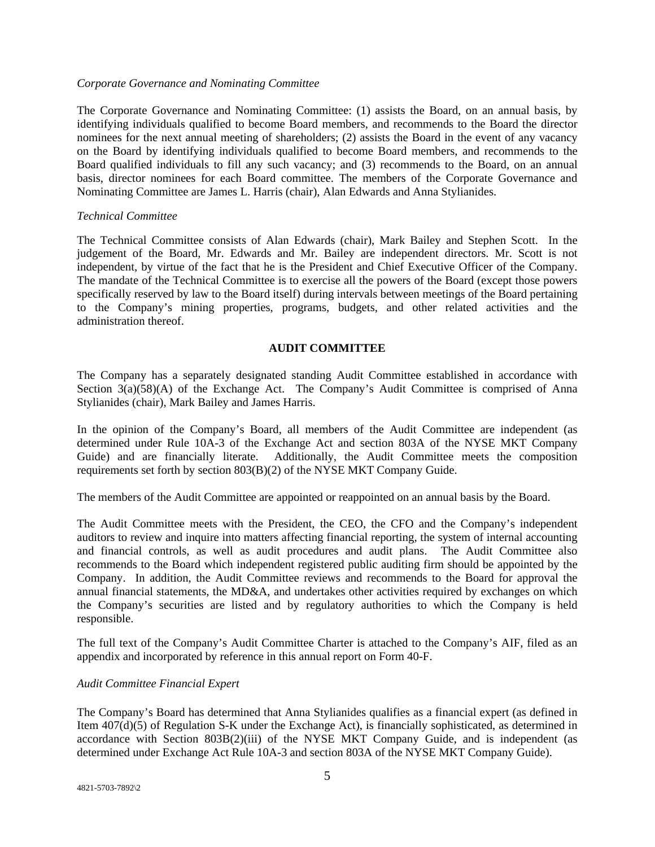## *Corporate Governance and Nominating Committee*

The Corporate Governance and Nominating Committee: (1) assists the Board, on an annual basis, by identifying individuals qualified to become Board members, and recommends to the Board the director nominees for the next annual meeting of shareholders; (2) assists the Board in the event of any vacancy on the Board by identifying individuals qualified to become Board members, and recommends to the Board qualified individuals to fill any such vacancy; and (3) recommends to the Board, on an annual basis, director nominees for each Board committee. The members of the Corporate Governance and Nominating Committee are James L. Harris (chair), Alan Edwards and Anna Stylianides.

## *Technical Committee*

The Technical Committee consists of Alan Edwards (chair), Mark Bailey and Stephen Scott. In the judgement of the Board, Mr. Edwards and Mr. Bailey are independent directors. Mr. Scott is not independent, by virtue of the fact that he is the President and Chief Executive Officer of the Company. The mandate of the Technical Committee is to exercise all the powers of the Board (except those powers specifically reserved by law to the Board itself) during intervals between meetings of the Board pertaining to the Company's mining properties, programs, budgets, and other related activities and the administration thereof.

## **AUDIT COMMITTEE**

The Company has a separately designated standing Audit Committee established in accordance with Section 3(a)(58)(A) of the Exchange Act. The Company's Audit Committee is comprised of Anna Stylianides (chair), Mark Bailey and James Harris.

In the opinion of the Company's Board, all members of the Audit Committee are independent (as determined under Rule 10A-3 of the Exchange Act and section 803A of the NYSE MKT Company Guide) and are financially literate. Additionally, the Audit Committee meets the composition requirements set forth by section 803(B)(2) of the NYSE MKT Company Guide.

The members of the Audit Committee are appointed or reappointed on an annual basis by the Board.

The Audit Committee meets with the President, the CEO, the CFO and the Company's independent auditors to review and inquire into matters affecting financial reporting, the system of internal accounting and financial controls, as well as audit procedures and audit plans. The Audit Committee also recommends to the Board which independent registered public auditing firm should be appointed by the Company. In addition, the Audit Committee reviews and recommends to the Board for approval the annual financial statements, the MD&A, and undertakes other activities required by exchanges on which the Company's securities are listed and by regulatory authorities to which the Company is held responsible.

The full text of the Company's Audit Committee Charter is attached to the Company's AIF, filed as an appendix and incorporated by reference in this annual report on Form 40-F.

## *Audit Committee Financial Expert*

The Company's Board has determined that Anna Stylianides qualifies as a financial expert (as defined in Item 407(d)(5) of Regulation S-K under the Exchange Act), is financially sophisticated, as determined in accordance with Section 803B(2)(iii) of the NYSE MKT Company Guide, and is independent (as determined under Exchange Act Rule 10A-3 and section 803A of the NYSE MKT Company Guide).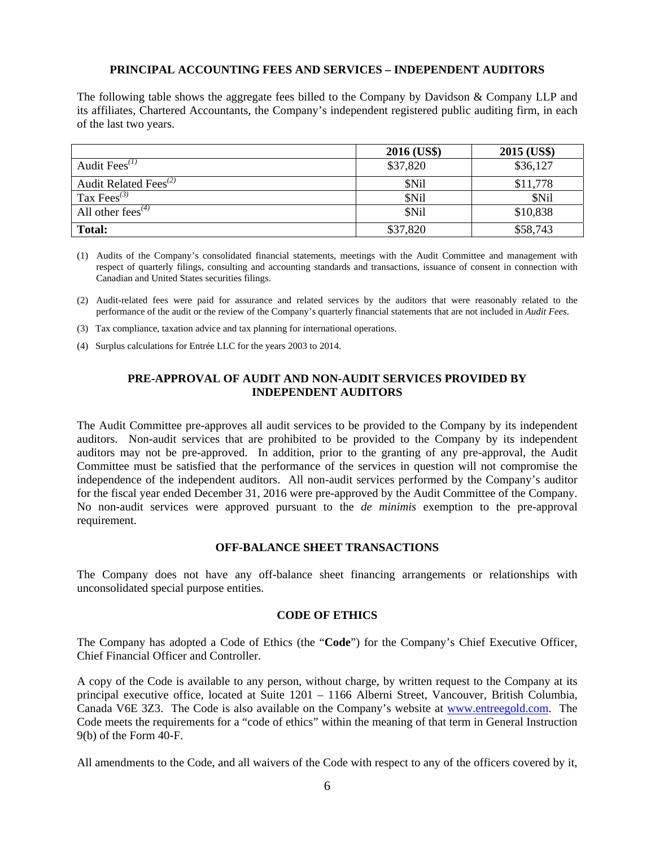## **PRINCIPAL ACCOUNTING FEES AND SERVICES – INDEPENDENT AUDITORS**

The following table shows the aggregate fees billed to the Company by Davidson & Company LLP and its affiliates, Chartered Accountants, the Company's independent registered public auditing firm, in each of the last two years.

|                                                | 2016 (US\$) | 2015 (US\$) |
|------------------------------------------------|-------------|-------------|
| Audit Fees $^{(1)}$                            | \$37,820    | \$36,127    |
| Audit Related Fees <sup><math>(2)</math></sup> | \$Nil       | \$11,778    |
| Tax Fees <sup><math>(3)</math></sup>           | \$Nil       | \$Nil       |
| All other fees <sup><math>(4)</math></sup>     | \$Nil       | \$10,838    |
| <b>Total:</b>                                  | \$37,820    | \$58,743    |

- (1) Audits of the Company's consolidated financial statements, meetings with the Audit Committee and management with respect of quarterly filings, consulting and accounting standards and transactions, issuance of consent in connection with Canadian and United States securities filings.
- (2) Audit-related fees were paid for assurance and related services by the auditors that were reasonably related to the performance of the audit or the review of the Company's quarterly financial statements that are not included in *Audit Fees*.
- (3) Tax compliance, taxation advice and tax planning for international operations.
- (4) Surplus calculations for Entrée LLC for the years 2003 to 2014.

## **PRE-APPROVAL OF AUDIT AND NON-AUDIT SERVICES PROVIDED BY INDEPENDENT AUDITORS**

The Audit Committee pre-approves all audit services to be provided to the Company by its independent auditors. Non-audit services that are prohibited to be provided to the Company by its independent auditors may not be pre-approved. In addition, prior to the granting of any pre-approval, the Audit Committee must be satisfied that the performance of the services in question will not compromise the independence of the independent auditors. All non-audit services performed by the Company's auditor for the fiscal year ended December 31, 2016 were pre-approved by the Audit Committee of the Company. No non-audit services were approved pursuant to the *de minimis* exemption to the pre-approval requirement.

## **OFF-BALANCE SHEET TRANSACTIONS**

The Company does not have any off-balance sheet financing arrangements or relationships with unconsolidated special purpose entities.

## **CODE OF ETHICS**

The Company has adopted a Code of Ethics (the "**Code**") for the Company's Chief Executive Officer, Chief Financial Officer and Controller.

A copy of the Code is available to any person, without charge, by written request to the Company at its principal executive office, located at Suite 1201 – 1166 Alberni Street, Vancouver, British Columbia, Canada V6E 3Z3. The Code is also available on the Company's website at www.entreegold.com. The Code meets the requirements for a "code of ethics" within the meaning of that term in General Instruction 9(b) of the Form 40-F.

All amendments to the Code, and all waivers of the Code with respect to any of the officers covered by it,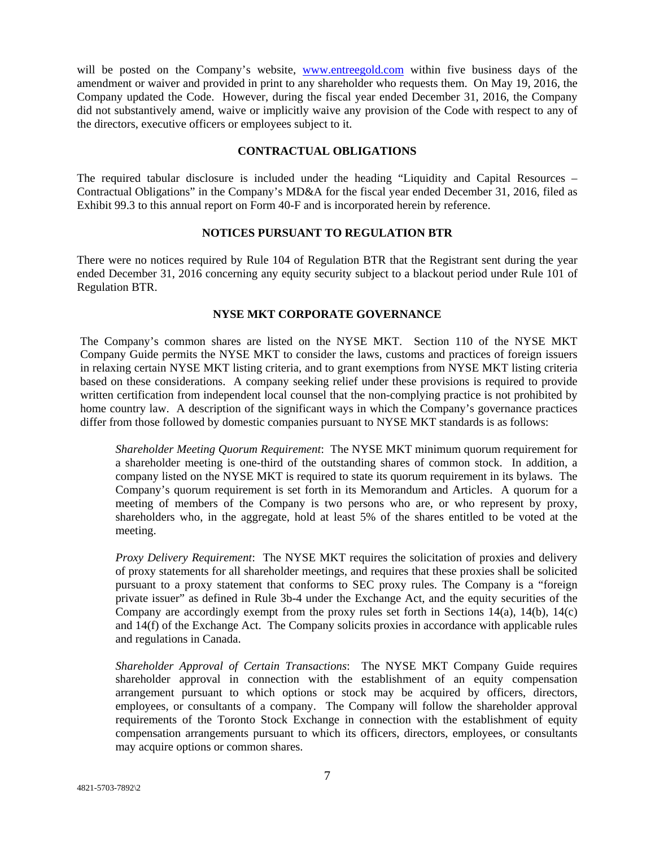will be posted on the Company's website, www.entreegold.com within five business days of the amendment or waiver and provided in print to any shareholder who requests them. On May 19, 2016, the Company updated the Code. However, during the fiscal year ended December 31, 2016, the Company did not substantively amend, waive or implicitly waive any provision of the Code with respect to any of the directors, executive officers or employees subject to it.

## **CONTRACTUAL OBLIGATIONS**

The required tabular disclosure is included under the heading "Liquidity and Capital Resources – Contractual Obligations" in the Company's MD&A for the fiscal year ended December 31, 2016, filed as Exhibit 99.3 to this annual report on Form 40-F and is incorporated herein by reference.

## **NOTICES PURSUANT TO REGULATION BTR**

There were no notices required by Rule 104 of Regulation BTR that the Registrant sent during the year ended December 31, 2016 concerning any equity security subject to a blackout period under Rule 101 of Regulation BTR.

## **NYSE MKT CORPORATE GOVERNANCE**

The Company's common shares are listed on the NYSE MKT. Section 110 of the NYSE MKT Company Guide permits the NYSE MKT to consider the laws, customs and practices of foreign issuers in relaxing certain NYSE MKT listing criteria, and to grant exemptions from NYSE MKT listing criteria based on these considerations. A company seeking relief under these provisions is required to provide written certification from independent local counsel that the non-complying practice is not prohibited by home country law. A description of the significant ways in which the Company's governance practices differ from those followed by domestic companies pursuant to NYSE MKT standards is as follows:

*Shareholder Meeting Quorum Requirement*: The NYSE MKT minimum quorum requirement for a shareholder meeting is one-third of the outstanding shares of common stock. In addition, a company listed on the NYSE MKT is required to state its quorum requirement in its bylaws. The Company's quorum requirement is set forth in its Memorandum and Articles. A quorum for a meeting of members of the Company is two persons who are, or who represent by proxy, shareholders who, in the aggregate, hold at least 5% of the shares entitled to be voted at the meeting.

*Proxy Delivery Requirement*: The NYSE MKT requires the solicitation of proxies and delivery of proxy statements for all shareholder meetings, and requires that these proxies shall be solicited pursuant to a proxy statement that conforms to SEC proxy rules. The Company is a "foreign private issuer" as defined in Rule 3b-4 under the Exchange Act, and the equity securities of the Company are accordingly exempt from the proxy rules set forth in Sections 14(a), 14(b), 14(c) and 14(f) of the Exchange Act. The Company solicits proxies in accordance with applicable rules and regulations in Canada.

*Shareholder Approval of Certain Transactions*: The NYSE MKT Company Guide requires shareholder approval in connection with the establishment of an equity compensation arrangement pursuant to which options or stock may be acquired by officers, directors, employees, or consultants of a company. The Company will follow the shareholder approval requirements of the Toronto Stock Exchange in connection with the establishment of equity compensation arrangements pursuant to which its officers, directors, employees, or consultants may acquire options or common shares.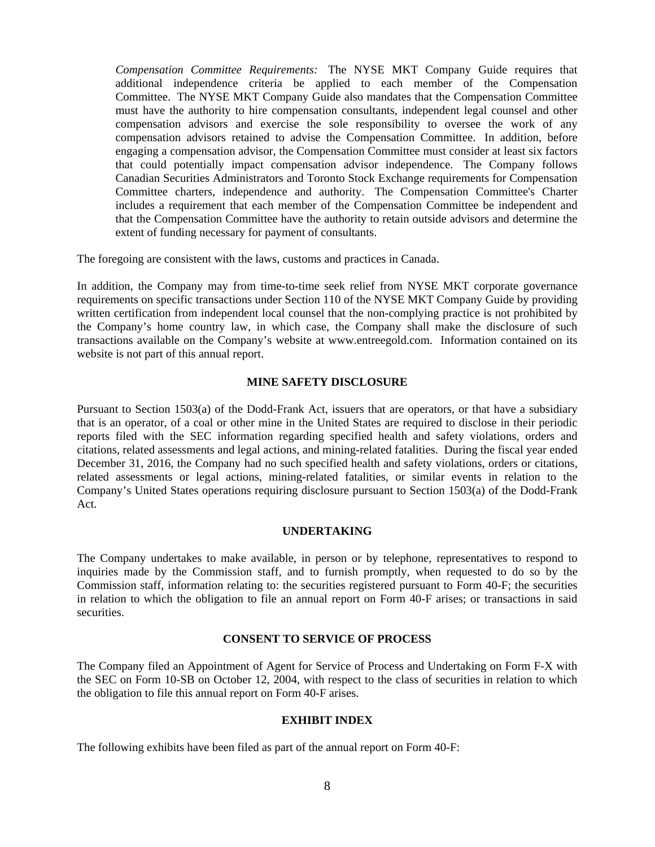*Compensation Committee Requirements:* The NYSE MKT Company Guide requires that additional independence criteria be applied to each member of the Compensation Committee. The NYSE MKT Company Guide also mandates that the Compensation Committee must have the authority to hire compensation consultants, independent legal counsel and other compensation advisors and exercise the sole responsibility to oversee the work of any compensation advisors retained to advise the Compensation Committee. In addition, before engaging a compensation advisor, the Compensation Committee must consider at least six factors that could potentially impact compensation advisor independence. The Company follows Canadian Securities Administrators and Toronto Stock Exchange requirements for Compensation Committee charters, independence and authority. The Compensation Committee's Charter includes a requirement that each member of the Compensation Committee be independent and that the Compensation Committee have the authority to retain outside advisors and determine the extent of funding necessary for payment of consultants.

The foregoing are consistent with the laws, customs and practices in Canada.

In addition, the Company may from time-to-time seek relief from NYSE MKT corporate governance requirements on specific transactions under Section 110 of the NYSE MKT Company Guide by providing written certification from independent local counsel that the non-complying practice is not prohibited by the Company's home country law, in which case, the Company shall make the disclosure of such transactions available on the Company's website at www.entreegold.com. Information contained on its website is not part of this annual report.

## **MINE SAFETY DISCLOSURE**

Pursuant to Section 1503(a) of the Dodd-Frank Act, issuers that are operators, or that have a subsidiary that is an operator, of a coal or other mine in the United States are required to disclose in their periodic reports filed with the SEC information regarding specified health and safety violations, orders and citations, related assessments and legal actions, and mining-related fatalities. During the fiscal year ended December 31, 2016, the Company had no such specified health and safety violations, orders or citations, related assessments or legal actions, mining-related fatalities, or similar events in relation to the Company's United States operations requiring disclosure pursuant to Section 1503(a) of the Dodd-Frank Act.

## **UNDERTAKING**

The Company undertakes to make available, in person or by telephone, representatives to respond to inquiries made by the Commission staff, and to furnish promptly, when requested to do so by the Commission staff, information relating to: the securities registered pursuant to Form 40-F; the securities in relation to which the obligation to file an annual report on Form 40-F arises; or transactions in said securities.

## **CONSENT TO SERVICE OF PROCESS**

The Company filed an Appointment of Agent for Service of Process and Undertaking on Form F-X with the SEC on Form 10-SB on October 12, 2004, with respect to the class of securities in relation to which the obligation to file this annual report on Form 40-F arises.

## **EXHIBIT INDEX**

The following exhibits have been filed as part of the annual report on Form 40-F: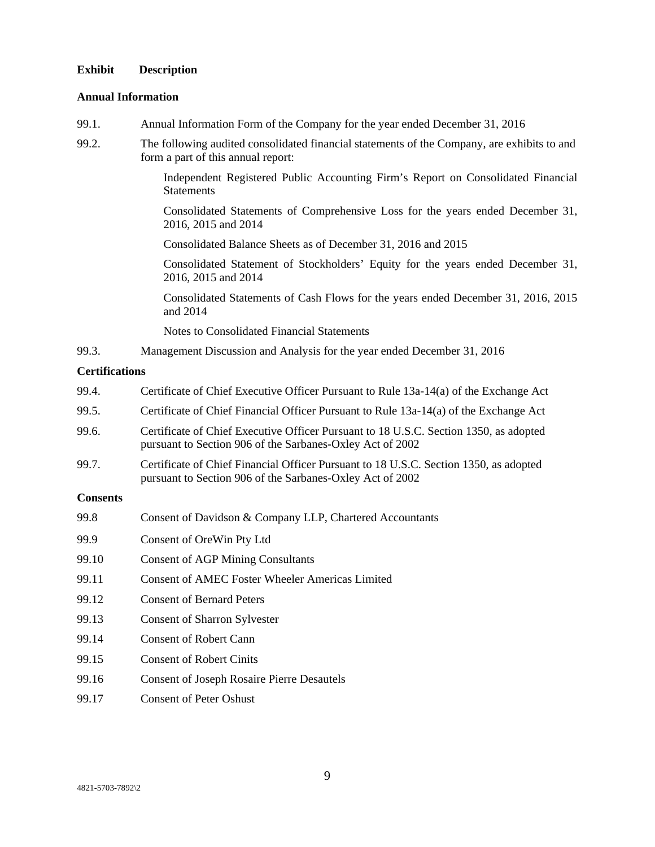## **Exhibit Description**

## **Annual Information**

- 99.1. Annual Information Form of the Company for the year ended December 31, 2016
- 99.2. The following audited consolidated financial statements of the Company, are exhibits to and form a part of this annual report:

 Independent Registered Public Accounting Firm's Report on Consolidated Financial **Statements** 

 Consolidated Statements of Comprehensive Loss for the years ended December 31, 2016, 2015 and 2014

Consolidated Balance Sheets as of December 31, 2016 and 2015

 Consolidated Statement of Stockholders' Equity for the years ended December 31, 2016, 2015 and 2014

 Consolidated Statements of Cash Flows for the years ended December 31, 2016, 2015 and 2014

Notes to Consolidated Financial Statements

99.3. Management Discussion and Analysis for the year ended December 31, 2016

## **Certifications**

| 99.4. | Certificate of Chief Executive Officer Pursuant to Rule 13a-14(a) of the Exchange Act                                                              |
|-------|----------------------------------------------------------------------------------------------------------------------------------------------------|
| 99.5. | Certificate of Chief Financial Officer Pursuant to Rule 13a-14(a) of the Exchange Act                                                              |
| 99.6. | Certificate of Chief Executive Officer Pursuant to 18 U.S.C. Section 1350, as adopted<br>pursuant to Section 906 of the Sarbanes-Oxley Act of 2002 |
| 99.7. | Certificate of Chief Financial Officer Pursuant to 18 U.S.C. Section 1350, as adopted<br>pursuant to Section 906 of the Sarbanes-Oxley Act of 2002 |

## **Consents**

- 99.8 Consent of Davidson & Company LLP, Chartered Accountants
- 99.9 Consent of OreWin Pty Ltd
- 99.10 Consent of AGP Mining Consultants
- 99.11 Consent of AMEC Foster Wheeler Americas Limited
- 99.12 Consent of Bernard Peters
- 99.13 Consent of Sharron Sylvester
- 99.14 Consent of Robert Cann
- 99.15 Consent of Robert Cinits
- 99.16 Consent of Joseph Rosaire Pierre Desautels
- 99.17 Consent of Peter Oshust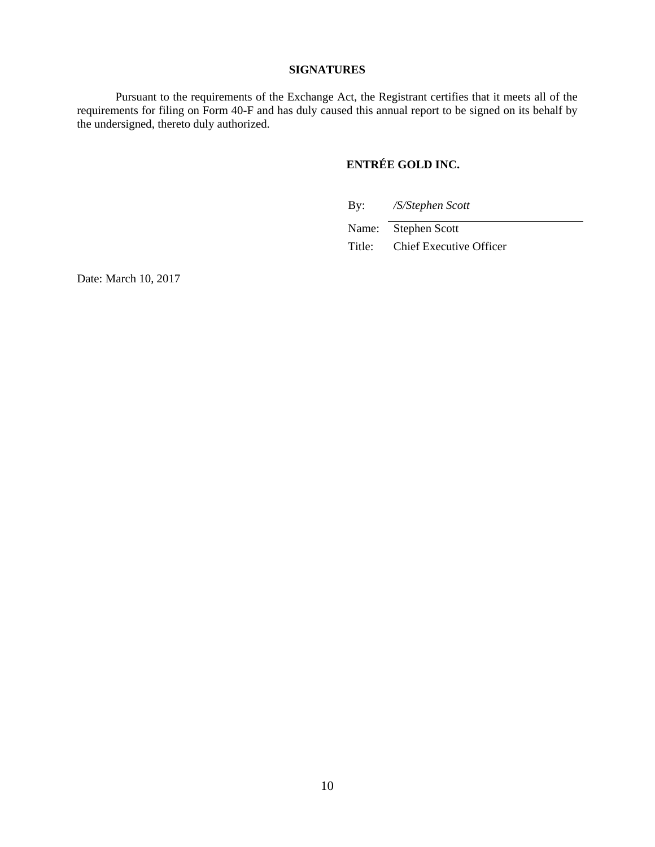## **SIGNATURES**

Pursuant to the requirements of the Exchange Act, the Registrant certifies that it meets all of the requirements for filing on Form 40-F and has duly caused this annual report to be signed on its behalf by the undersigned, thereto duly authorized.

# **ENTRÉE GOLD INC.**

By: */S/Stephen Scott* 

Name: Stephen Scott Title: Chief Executive Officer

Date: March 10, 2017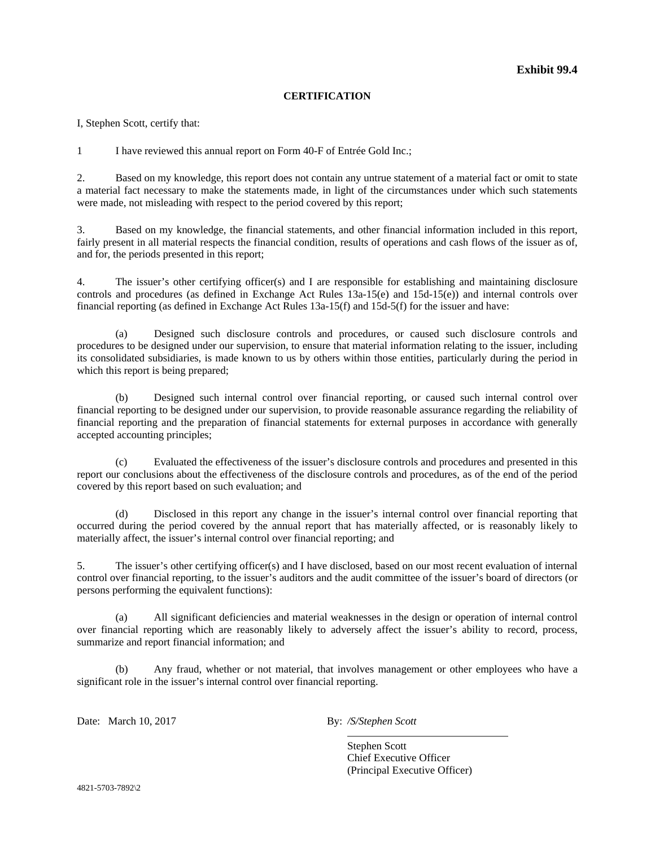## **CERTIFICATION**

I, Stephen Scott, certify that:

1 I have reviewed this annual report on Form 40-F of Entrée Gold Inc.;

2. Based on my knowledge, this report does not contain any untrue statement of a material fact or omit to state a material fact necessary to make the statements made, in light of the circumstances under which such statements were made, not misleading with respect to the period covered by this report;

3. Based on my knowledge, the financial statements, and other financial information included in this report, fairly present in all material respects the financial condition, results of operations and cash flows of the issuer as of, and for, the periods presented in this report;

4. The issuer's other certifying officer(s) and I are responsible for establishing and maintaining disclosure controls and procedures (as defined in Exchange Act Rules 13a-15(e) and 15d-15(e)) and internal controls over financial reporting (as defined in Exchange Act Rules 13a-15(f) and 15d-5(f) for the issuer and have:

(a) Designed such disclosure controls and procedures, or caused such disclosure controls and procedures to be designed under our supervision, to ensure that material information relating to the issuer, including its consolidated subsidiaries, is made known to us by others within those entities, particularly during the period in which this report is being prepared;

(b) Designed such internal control over financial reporting, or caused such internal control over financial reporting to be designed under our supervision, to provide reasonable assurance regarding the reliability of financial reporting and the preparation of financial statements for external purposes in accordance with generally accepted accounting principles;

 (c) Evaluated the effectiveness of the issuer's disclosure controls and procedures and presented in this report our conclusions about the effectiveness of the disclosure controls and procedures, as of the end of the period covered by this report based on such evaluation; and

 (d) Disclosed in this report any change in the issuer's internal control over financial reporting that occurred during the period covered by the annual report that has materially affected, or is reasonably likely to materially affect, the issuer's internal control over financial reporting; and

5. The issuer's other certifying officer(s) and I have disclosed, based on our most recent evaluation of internal control over financial reporting, to the issuer's auditors and the audit committee of the issuer's board of directors (or persons performing the equivalent functions):

 (a) All significant deficiencies and material weaknesses in the design or operation of internal control over financial reporting which are reasonably likely to adversely affect the issuer's ability to record, process, summarize and report financial information; and

 (b) Any fraud, whether or not material, that involves management or other employees who have a significant role in the issuer's internal control over financial reporting.

Date: March 10, 2017 By: */S/Stephen Scott* 

Stephen Scott Chief Executive Officer (Principal Executive Officer)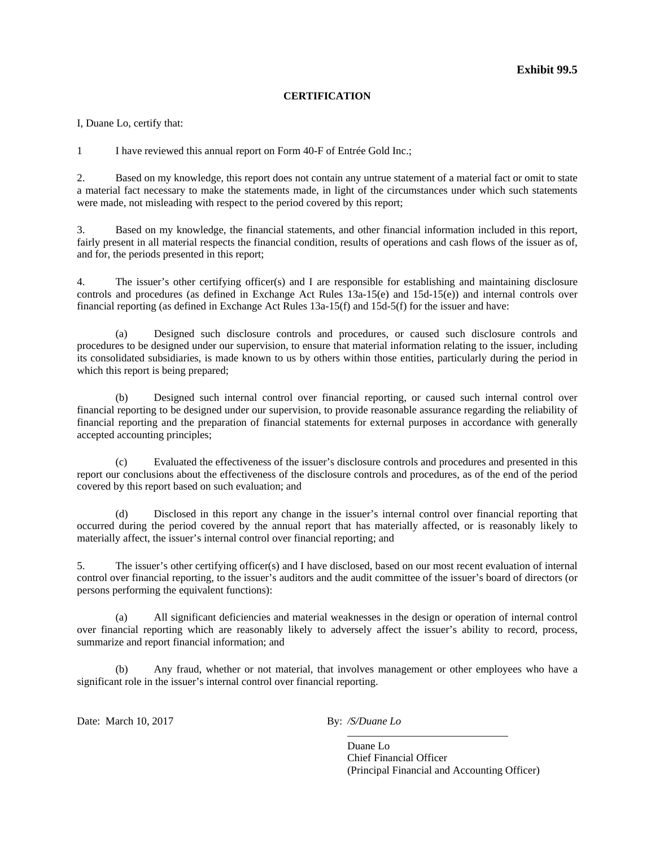## **CERTIFICATION**

I, Duane Lo, certify that:

1 I have reviewed this annual report on Form 40-F of Entrée Gold Inc.;

2. Based on my knowledge, this report does not contain any untrue statement of a material fact or omit to state a material fact necessary to make the statements made, in light of the circumstances under which such statements were made, not misleading with respect to the period covered by this report;

3. Based on my knowledge, the financial statements, and other financial information included in this report, fairly present in all material respects the financial condition, results of operations and cash flows of the issuer as of, and for, the periods presented in this report;

4. The issuer's other certifying officer(s) and I are responsible for establishing and maintaining disclosure controls and procedures (as defined in Exchange Act Rules 13a-15(e) and 15d-15(e)) and internal controls over financial reporting (as defined in Exchange Act Rules 13a-15(f) and 15d-5(f) for the issuer and have:

(a) Designed such disclosure controls and procedures, or caused such disclosure controls and procedures to be designed under our supervision, to ensure that material information relating to the issuer, including its consolidated subsidiaries, is made known to us by others within those entities, particularly during the period in which this report is being prepared;

(b) Designed such internal control over financial reporting, or caused such internal control over financial reporting to be designed under our supervision, to provide reasonable assurance regarding the reliability of financial reporting and the preparation of financial statements for external purposes in accordance with generally accepted accounting principles;

 (c) Evaluated the effectiveness of the issuer's disclosure controls and procedures and presented in this report our conclusions about the effectiveness of the disclosure controls and procedures, as of the end of the period covered by this report based on such evaluation; and

Disclosed in this report any change in the issuer's internal control over financial reporting that occurred during the period covered by the annual report that has materially affected, or is reasonably likely to materially affect, the issuer's internal control over financial reporting; and

5. The issuer's other certifying officer(s) and I have disclosed, based on our most recent evaluation of internal control over financial reporting, to the issuer's auditors and the audit committee of the issuer's board of directors (or persons performing the equivalent functions):

 (a) All significant deficiencies and material weaknesses in the design or operation of internal control over financial reporting which are reasonably likely to adversely affect the issuer's ability to record, process, summarize and report financial information; and

 (b) Any fraud, whether or not material, that involves management or other employees who have a significant role in the issuer's internal control over financial reporting.

Date: March 10, 2017 By: */S/Duane Lo* 

Duane Lo Chief Financial Officer (Principal Financial and Accounting Officer)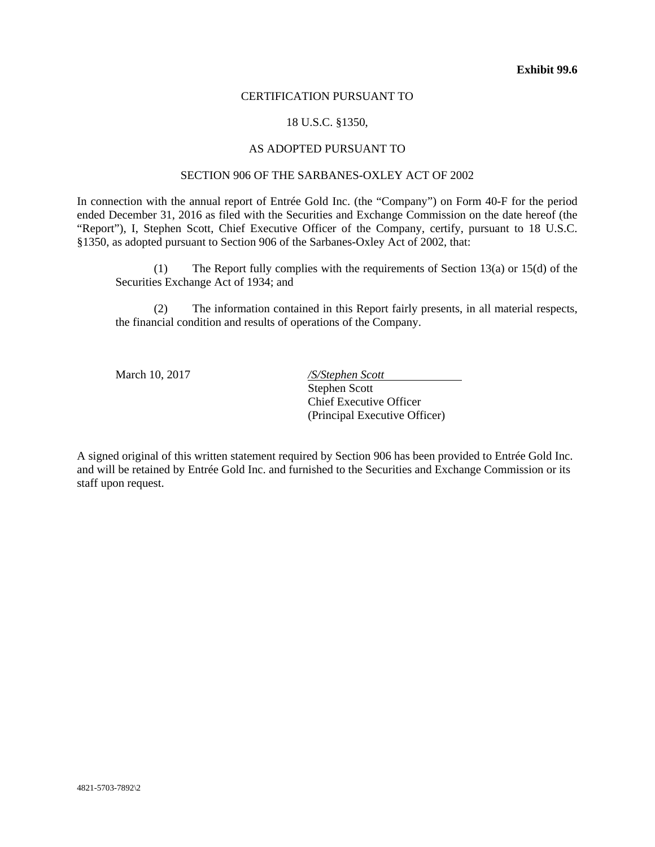## CERTIFICATION PURSUANT TO

## 18 U.S.C. §1350,

## AS ADOPTED PURSUANT TO

## SECTION 906 OF THE SARBANES-OXLEY ACT OF 2002

In connection with the annual report of Entrée Gold Inc. (the "Company") on Form 40-F for the period ended December 31, 2016 as filed with the Securities and Exchange Commission on the date hereof (the "Report"), I, Stephen Scott, Chief Executive Officer of the Company, certify, pursuant to 18 U.S.C. §1350, as adopted pursuant to Section 906 of the Sarbanes-Oxley Act of 2002, that:

 (1) The Report fully complies with the requirements of Section 13(a) or 15(d) of the Securities Exchange Act of 1934; and

 (2) The information contained in this Report fairly presents, in all material respects, the financial condition and results of operations of the Company.

March 10, 2017 */S/Stephen Scott*  Stephen Scott Chief Executive Officer (Principal Executive Officer)

A signed original of this written statement required by Section 906 has been provided to Entrée Gold Inc. and will be retained by Entrée Gold Inc. and furnished to the Securities and Exchange Commission or its staff upon request.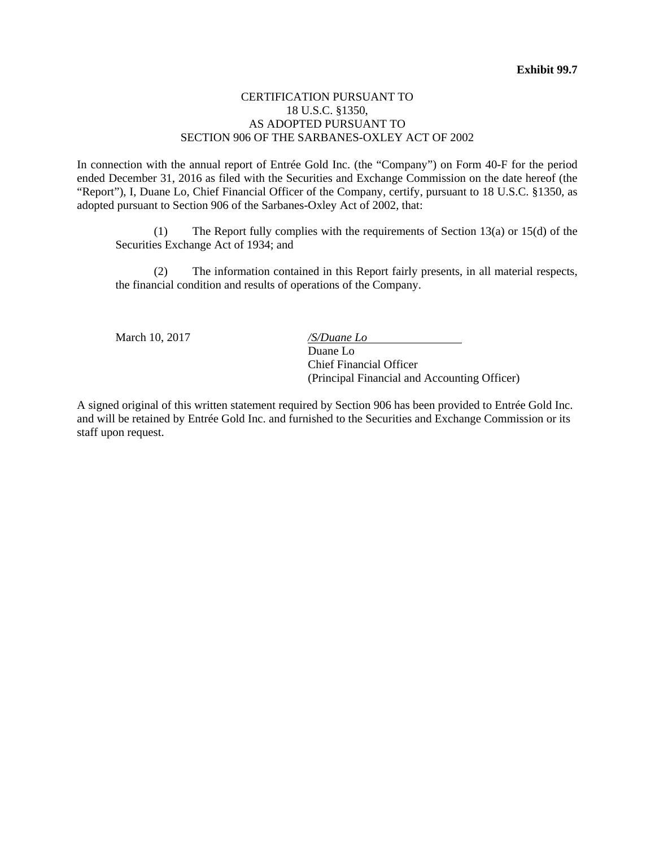## CERTIFICATION PURSUANT TO 18 U.S.C. §1350, AS ADOPTED PURSUANT TO SECTION 906 OF THE SARBANES-OXLEY ACT OF 2002

In connection with the annual report of Entrée Gold Inc. (the "Company") on Form 40-F for the period ended December 31, 2016 as filed with the Securities and Exchange Commission on the date hereof (the "Report"), I, Duane Lo, Chief Financial Officer of the Company, certify, pursuant to 18 U.S.C. §1350, as adopted pursuant to Section 906 of the Sarbanes-Oxley Act of 2002, that:

 (1) The Report fully complies with the requirements of Section 13(a) or 15(d) of the Securities Exchange Act of 1934; and

 (2) The information contained in this Report fairly presents, in all material respects, the financial condition and results of operations of the Company.

March 10, 2017 */S/Duane Lo* 

 Duane Lo Chief Financial Officer (Principal Financial and Accounting Officer)

A signed original of this written statement required by Section 906 has been provided to Entrée Gold Inc. and will be retained by Entrée Gold Inc. and furnished to the Securities and Exchange Commission or its staff upon request.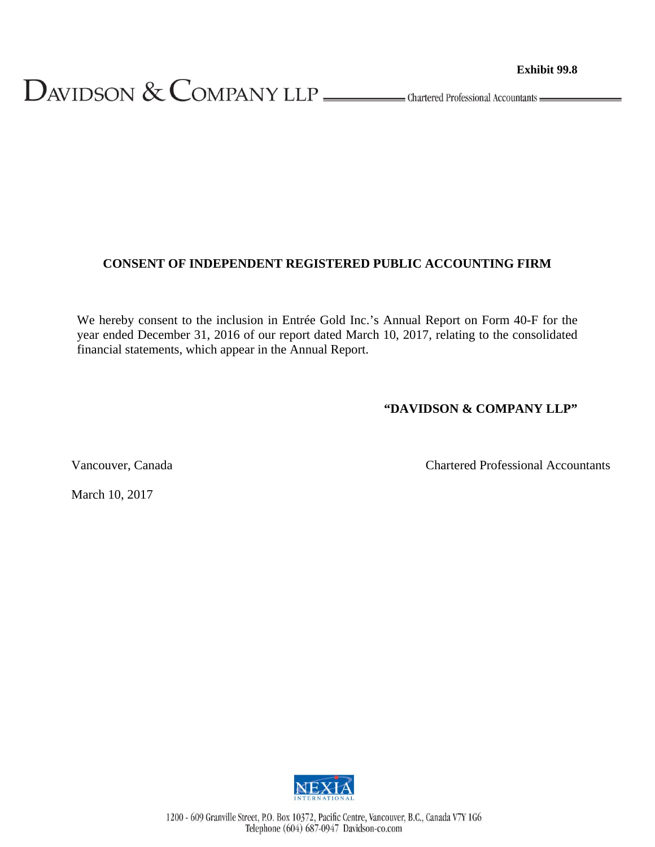# **Exhibit 99.8**

# **CONSENT OF INDEPENDENT REGISTERED PUBLIC ACCOUNTING FIRM**

We hereby consent to the inclusion in Entrée Gold Inc.'s Annual Report on Form 40-F for the year ended December 31, 2016 of our report dated March 10, 2017, relating to the consolidated financial statements, which appear in the Annual Report.

# **"DAVIDSON & COMPANY LLP"**

Vancouver, Canada Chartered Professional Accountants

March 10, 2017

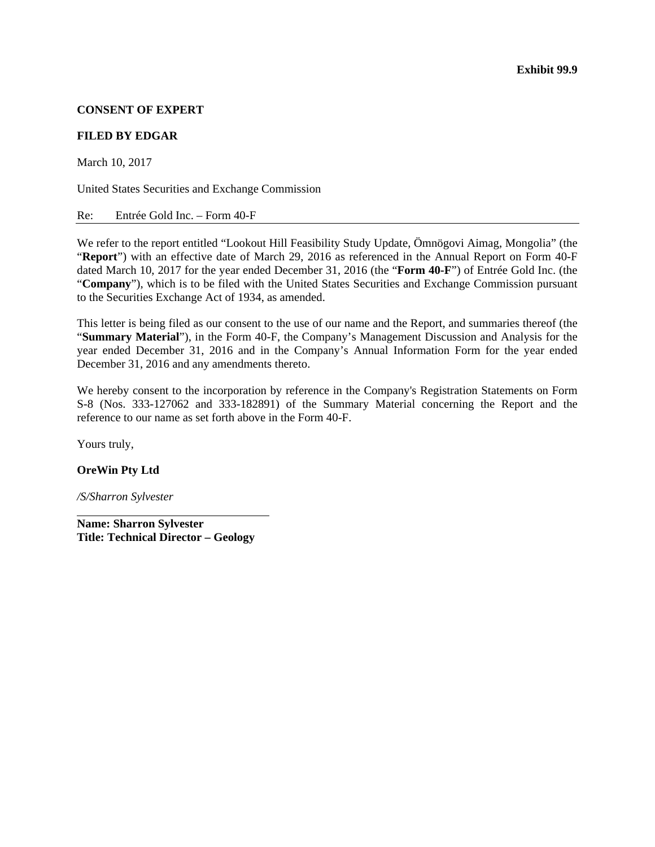## **FILED BY EDGAR**

March 10, 2017

United States Securities and Exchange Commission

Re: Entrée Gold Inc. – Form 40-F

We refer to the report entitled "Lookout Hill Feasibility Study Update, Ömnögovi Aimag, Mongolia" (the "**Report**") with an effective date of March 29, 2016 as referenced in the Annual Report on Form 40-F dated March 10, 2017 for the year ended December 31, 2016 (the "**Form 40-F**") of Entrée Gold Inc. (the "**Company**"), which is to be filed with the United States Securities and Exchange Commission pursuant to the Securities Exchange Act of 1934, as amended.

This letter is being filed as our consent to the use of our name and the Report, and summaries thereof (the "**Summary Material**"), in the Form 40-F, the Company's Management Discussion and Analysis for the year ended December 31, 2016 and in the Company's Annual Information Form for the year ended December 31, 2016 and any amendments thereto.

We hereby consent to the incorporation by reference in the Company's Registration Statements on Form S-8 (Nos. 333-127062 and 333-182891) of the Summary Material concerning the Report and the reference to our name as set forth above in the Form 40-F.

Yours truly,

**OreWin Pty Ltd** 

*/S/Sharron Sylvester* 

**Name: Sharron Sylvester Title: Technical Director – Geology**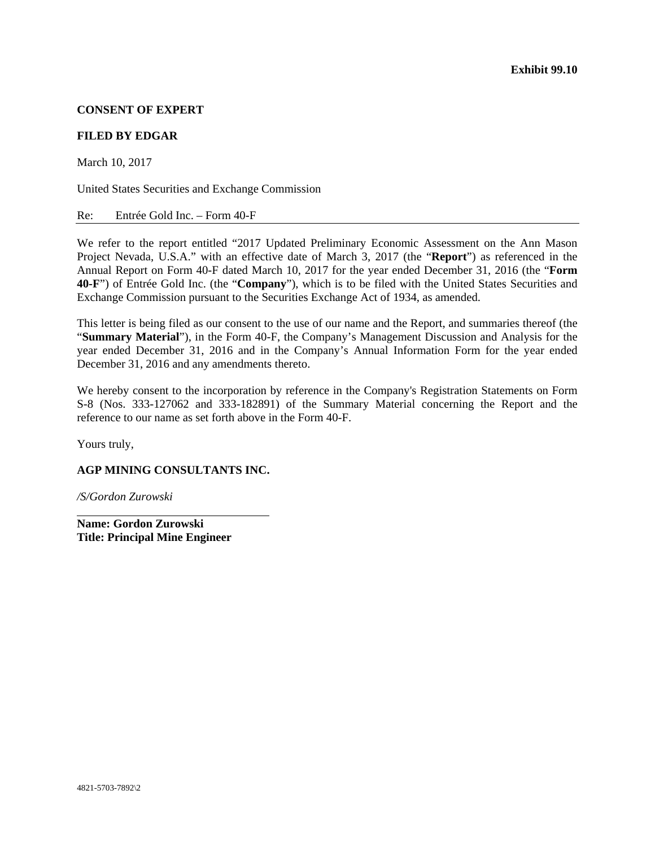## **FILED BY EDGAR**

March 10, 2017

United States Securities and Exchange Commission

Re: Entrée Gold Inc. – Form 40-F

We refer to the report entitled "2017 Updated Preliminary Economic Assessment on the Ann Mason Project Nevada, U.S.A." with an effective date of March 3, 2017 (the "**Report**") as referenced in the Annual Report on Form 40-F dated March 10, 2017 for the year ended December 31, 2016 (the "**Form 40-F**") of Entrée Gold Inc. (the "**Company**"), which is to be filed with the United States Securities and Exchange Commission pursuant to the Securities Exchange Act of 1934, as amended.

This letter is being filed as our consent to the use of our name and the Report, and summaries thereof (the "**Summary Material**"), in the Form 40-F, the Company's Management Discussion and Analysis for the year ended December 31, 2016 and in the Company's Annual Information Form for the year ended December 31, 2016 and any amendments thereto.

We hereby consent to the incorporation by reference in the Company's Registration Statements on Form S-8 (Nos. 333-127062 and 333-182891) of the Summary Material concerning the Report and the reference to our name as set forth above in the Form 40-F.

Yours truly,

## **AGP MINING CONSULTANTS INC.**

*/S/Gordon Zurowski* 

**Name: Gordon Zurowski Title: Principal Mine Engineer**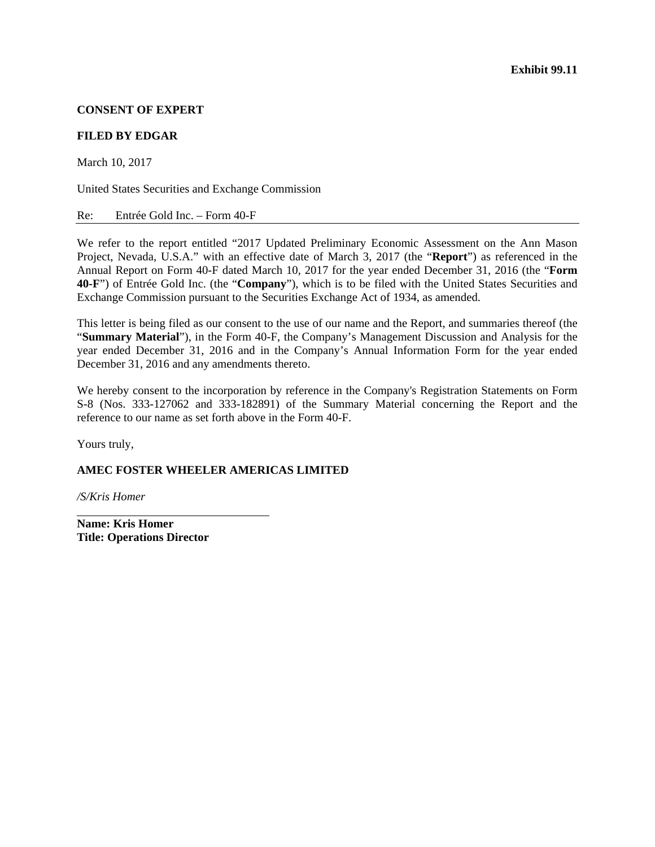## **FILED BY EDGAR**

March 10, 2017

United States Securities and Exchange Commission

Re: Entrée Gold Inc. – Form 40-F

We refer to the report entitled "2017 Updated Preliminary Economic Assessment on the Ann Mason Project, Nevada, U.S.A." with an effective date of March 3, 2017 (the "**Report**") as referenced in the Annual Report on Form 40-F dated March 10, 2017 for the year ended December 31, 2016 (the "**Form 40-F**") of Entrée Gold Inc. (the "**Company**"), which is to be filed with the United States Securities and Exchange Commission pursuant to the Securities Exchange Act of 1934, as amended.

This letter is being filed as our consent to the use of our name and the Report, and summaries thereof (the "**Summary Material**"), in the Form 40-F, the Company's Management Discussion and Analysis for the year ended December 31, 2016 and in the Company's Annual Information Form for the year ended December 31, 2016 and any amendments thereto.

We hereby consent to the incorporation by reference in the Company's Registration Statements on Form S-8 (Nos. 333-127062 and 333-182891) of the Summary Material concerning the Report and the reference to our name as set forth above in the Form 40-F.

Yours truly,

## **AMEC FOSTER WHEELER AMERICAS LIMITED**

*/S/Kris Homer* 

**Name: Kris Homer Title: Operations Director**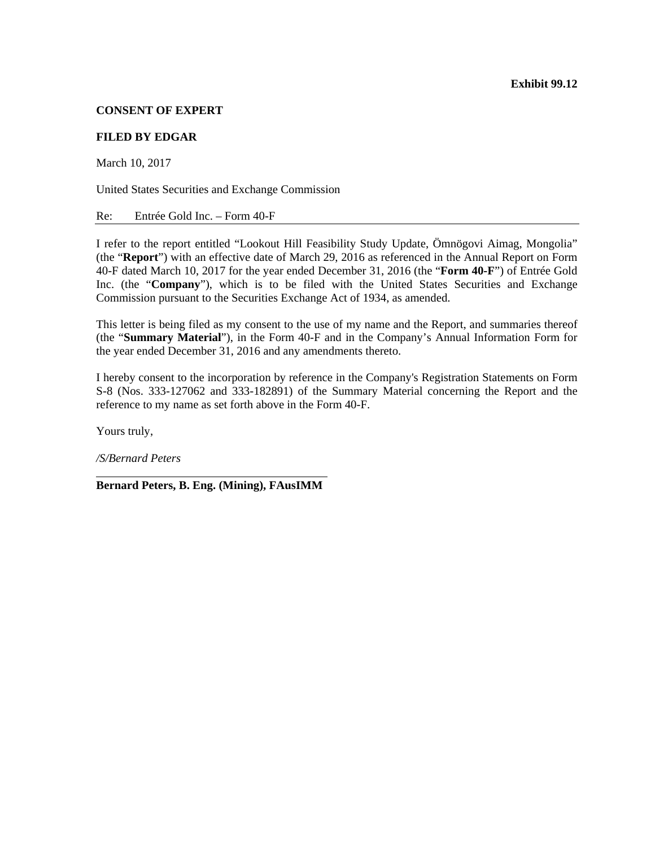## **FILED BY EDGAR**

March 10, 2017

United States Securities and Exchange Commission

Re: Entrée Gold Inc. – Form 40-F

I refer to the report entitled "Lookout Hill Feasibility Study Update, Ömnögovi Aimag, Mongolia" (the "**Report**") with an effective date of March 29, 2016 as referenced in the Annual Report on Form 40-F dated March 10, 2017 for the year ended December 31, 2016 (the "**Form 40-F**") of Entrée Gold Inc. (the "**Company**"), which is to be filed with the United States Securities and Exchange Commission pursuant to the Securities Exchange Act of 1934, as amended.

This letter is being filed as my consent to the use of my name and the Report, and summaries thereof (the "**Summary Material**"), in the Form 40-F and in the Company's Annual Information Form for the year ended December 31, 2016 and any amendments thereto.

I hereby consent to the incorporation by reference in the Company's Registration Statements on Form S-8 (Nos. 333-127062 and 333-182891) of the Summary Material concerning the Report and the reference to my name as set forth above in the Form 40-F.

Yours truly,

*/S/Bernard Peters* 

**Bernard Peters, B. Eng. (Mining), FAusIMM**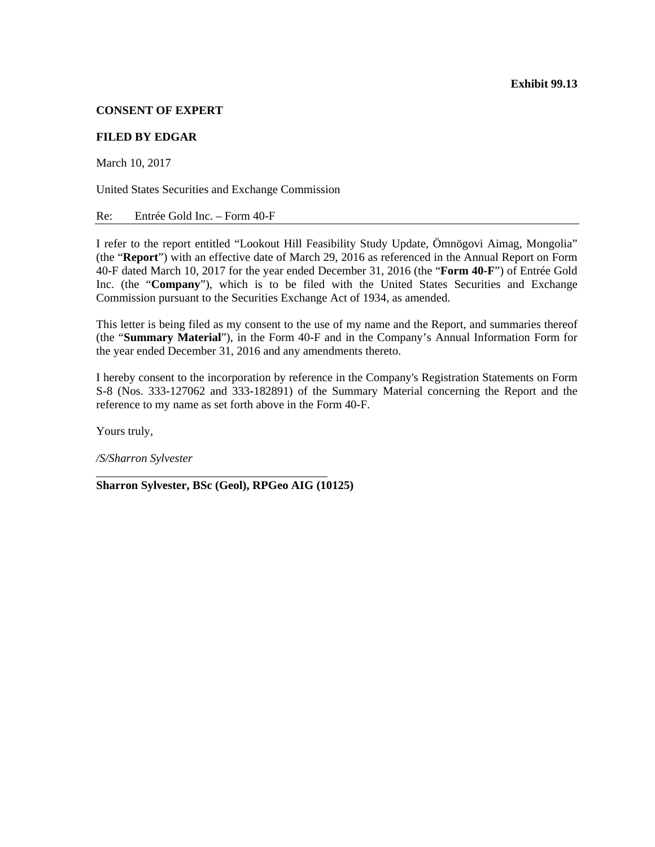## **FILED BY EDGAR**

March 10, 2017

United States Securities and Exchange Commission

Re: Entrée Gold Inc. – Form 40-F

I refer to the report entitled "Lookout Hill Feasibility Study Update, Ömnögovi Aimag, Mongolia" (the "**Report**") with an effective date of March 29, 2016 as referenced in the Annual Report on Form 40-F dated March 10, 2017 for the year ended December 31, 2016 (the "**Form 40-F**") of Entrée Gold Inc. (the "**Company**"), which is to be filed with the United States Securities and Exchange Commission pursuant to the Securities Exchange Act of 1934, as amended.

This letter is being filed as my consent to the use of my name and the Report, and summaries thereof (the "**Summary Material**"), in the Form 40-F and in the Company's Annual Information Form for the year ended December 31, 2016 and any amendments thereto.

I hereby consent to the incorporation by reference in the Company's Registration Statements on Form S-8 (Nos. 333-127062 and 333-182891) of the Summary Material concerning the Report and the reference to my name as set forth above in the Form 40-F.

Yours truly,

*/S/Sharron Sylvester* 

**Sharron Sylvester, BSc (Geol), RPGeo AIG (10125)**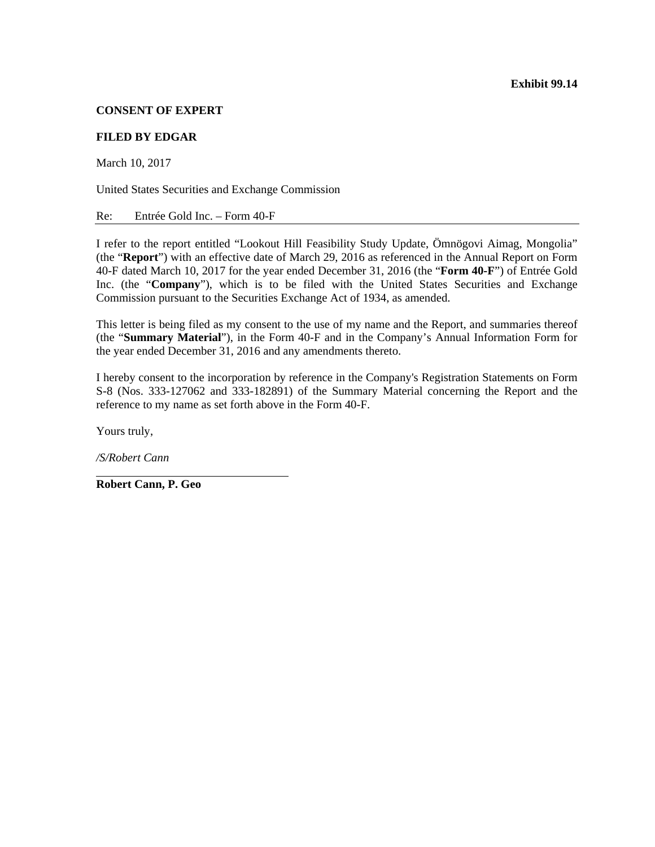## **FILED BY EDGAR**

March 10, 2017

United States Securities and Exchange Commission

Re: Entrée Gold Inc. – Form 40-F

I refer to the report entitled "Lookout Hill Feasibility Study Update, Ömnögovi Aimag, Mongolia" (the "**Report**") with an effective date of March 29, 2016 as referenced in the Annual Report on Form 40-F dated March 10, 2017 for the year ended December 31, 2016 (the "**Form 40-F**") of Entrée Gold Inc. (the "**Company**"), which is to be filed with the United States Securities and Exchange Commission pursuant to the Securities Exchange Act of 1934, as amended.

This letter is being filed as my consent to the use of my name and the Report, and summaries thereof (the "**Summary Material**"), in the Form 40-F and in the Company's Annual Information Form for the year ended December 31, 2016 and any amendments thereto.

I hereby consent to the incorporation by reference in the Company's Registration Statements on Form S-8 (Nos. 333-127062 and 333-182891) of the Summary Material concerning the Report and the reference to my name as set forth above in the Form 40-F.

Yours truly,

*/S/Robert Cann* 

**Robert Cann, P. Geo**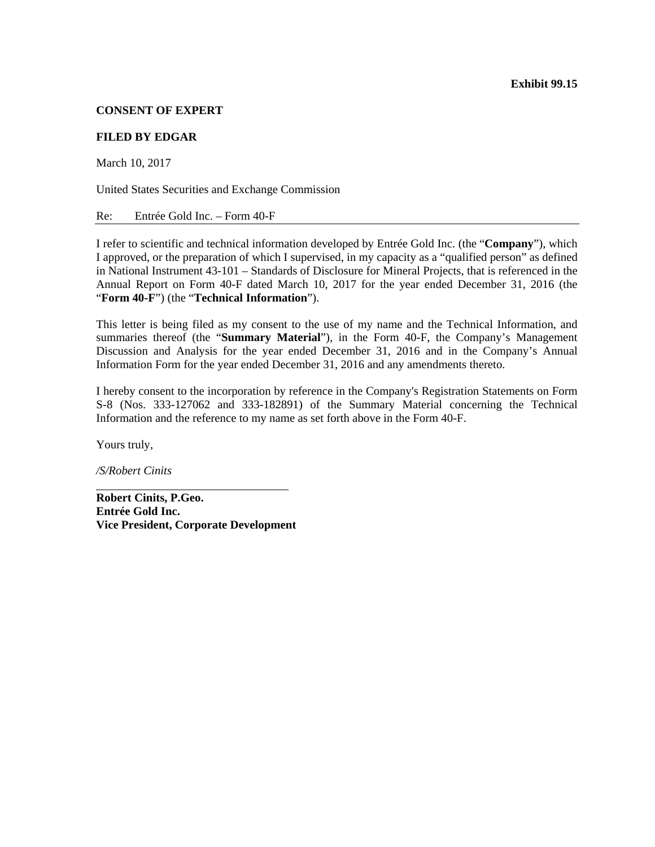## **FILED BY EDGAR**

March 10, 2017

United States Securities and Exchange Commission

Re: Entrée Gold Inc. – Form 40-F

I refer to scientific and technical information developed by Entrée Gold Inc. (the "**Company**"), which I approved, or the preparation of which I supervised, in my capacity as a "qualified person" as defined in National Instrument 43-101 – Standards of Disclosure for Mineral Projects, that is referenced in the Annual Report on Form 40-F dated March 10, 2017 for the year ended December 31, 2016 (the "**Form 40-F**") (the "**Technical Information**").

This letter is being filed as my consent to the use of my name and the Technical Information, and summaries thereof (the "**Summary Material**"), in the Form 40-F, the Company's Management Discussion and Analysis for the year ended December 31, 2016 and in the Company's Annual Information Form for the year ended December 31, 2016 and any amendments thereto.

I hereby consent to the incorporation by reference in the Company's Registration Statements on Form S-8 (Nos. 333-127062 and 333-182891) of the Summary Material concerning the Technical Information and the reference to my name as set forth above in the Form 40-F.

Yours truly,

*/S/Robert Cinits* 

**Robert Cinits, P.Geo. Entrée Gold Inc. Vice President, Corporate Development**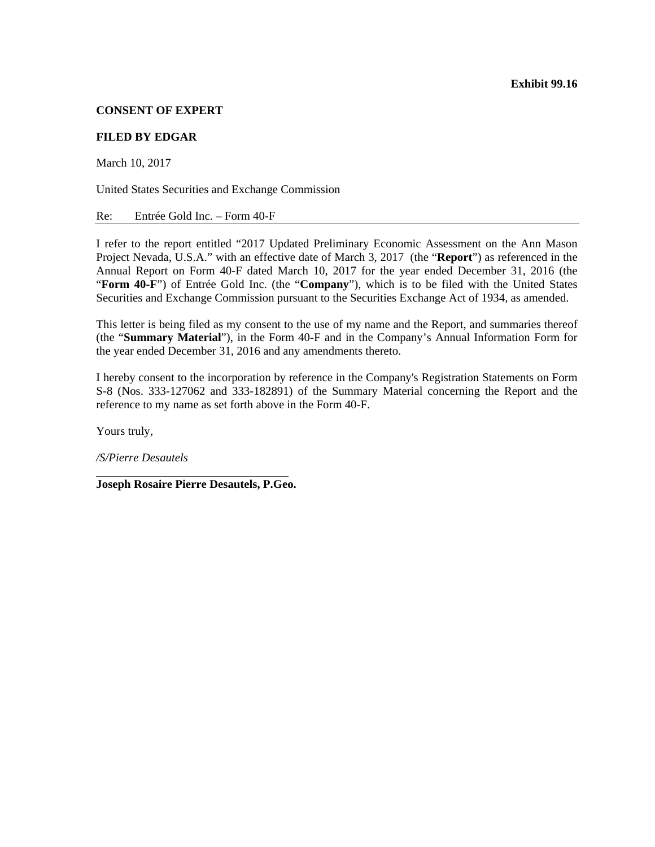## **FILED BY EDGAR**

March 10, 2017

United States Securities and Exchange Commission

Re: Entrée Gold Inc. – Form 40-F

I refer to the report entitled "2017 Updated Preliminary Economic Assessment on the Ann Mason Project Nevada, U.S.A." with an effective date of March 3, 2017 (the "**Report**") as referenced in the Annual Report on Form 40-F dated March 10, 2017 for the year ended December 31, 2016 (the "**Form 40-F**") of Entrée Gold Inc. (the "**Company**"), which is to be filed with the United States Securities and Exchange Commission pursuant to the Securities Exchange Act of 1934, as amended.

This letter is being filed as my consent to the use of my name and the Report, and summaries thereof (the "**Summary Material**"), in the Form 40-F and in the Company's Annual Information Form for the year ended December 31, 2016 and any amendments thereto.

I hereby consent to the incorporation by reference in the Company's Registration Statements on Form S-8 (Nos. 333-127062 and 333-182891) of the Summary Material concerning the Report and the reference to my name as set forth above in the Form 40-F.

Yours truly,

*/S/Pierre Desautels* 

**Joseph Rosaire Pierre Desautels, P.Geo.**